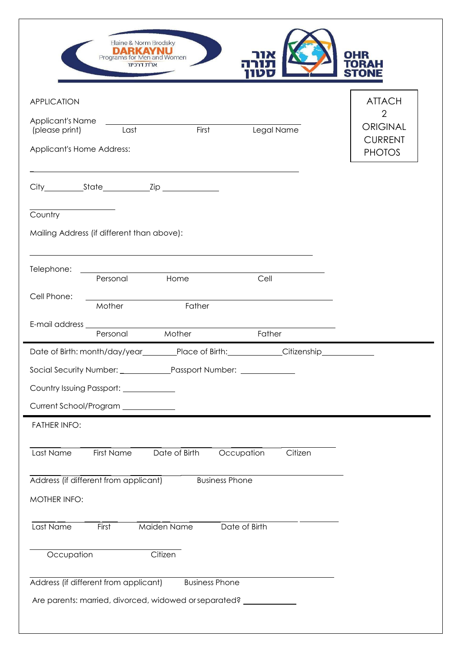| Elaine & Norm Brodsky<br>B.<br>Programs for Men and Women<br>או"ת דרכינו                                                                                                                                                      | <b>OHR</b><br>TORAH<br>ST  |
|-------------------------------------------------------------------------------------------------------------------------------------------------------------------------------------------------------------------------------|----------------------------|
| <b>APPLICATION</b>                                                                                                                                                                                                            | <b>ATTACH</b>              |
| Applicant's Name                                                                                                                                                                                                              | $\overline{2}$             |
| First<br>Legal Name<br>(please print)<br>Last                                                                                                                                                                                 | ORIGINAL<br><b>CURRENT</b> |
| Applicant's Home Address:                                                                                                                                                                                                     | <b>PHOTOS</b>              |
| the control of the control of the control of the control of the control of the control of the control of the control of the control of the control of the control of the control of the control of the control of the control |                            |
|                                                                                                                                                                                                                               |                            |
| Country                                                                                                                                                                                                                       |                            |
| Mailing Address (if different than above):                                                                                                                                                                                    |                            |
|                                                                                                                                                                                                                               |                            |
| Telephone:                                                                                                                                                                                                                    |                            |
| Home<br>Personal<br>Cell                                                                                                                                                                                                      |                            |
| Cell Phone:<br>Father<br>Mother                                                                                                                                                                                               |                            |
| E-mail address                                                                                                                                                                                                                |                            |
| Mother<br>Personal<br>Father                                                                                                                                                                                                  |                            |
| Date of Birth: month/day/year________Place of Birth:___________Citizenship____________                                                                                                                                        |                            |
|                                                                                                                                                                                                                               |                            |
| Country Issuing Passport: ____________                                                                                                                                                                                        |                            |
| Current School/Program                                                                                                                                                                                                        |                            |
| <b>FATHER INFO:</b>                                                                                                                                                                                                           |                            |
| Citizen<br>Occupation<br>First Name<br>Date of Birth<br>Last Name                                                                                                                                                             |                            |
|                                                                                                                                                                                                                               |                            |
| Address (if different from applicant)<br><b>Business Phone</b>                                                                                                                                                                |                            |
| MOTHER INFO:                                                                                                                                                                                                                  |                            |
|                                                                                                                                                                                                                               |                            |
| Date of Birth<br>Maiden Name<br>Last Name<br>First                                                                                                                                                                            |                            |
| Citizen<br>Occupation                                                                                                                                                                                                         |                            |
|                                                                                                                                                                                                                               |                            |
| Address (if different from applicant)<br><b>Business Phone</b>                                                                                                                                                                |                            |
| Are parents: married, divorced, widowed or separated?                                                                                                                                                                         |                            |
|                                                                                                                                                                                                                               |                            |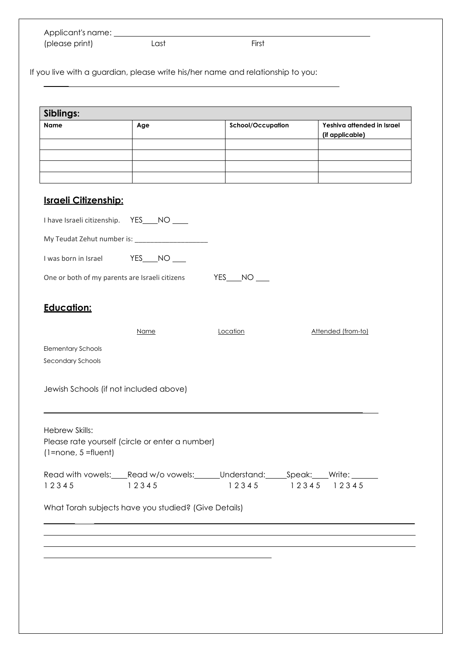| Applicant's name: |      |       |  |
|-------------------|------|-------|--|
| (please print)    | Last | First |  |

If you live with a guardian, please write his/her name and relationship to you:

| Siblings:                                      |                                                                   |                     |                                               |
|------------------------------------------------|-------------------------------------------------------------------|---------------------|-----------------------------------------------|
| Name                                           | Age                                                               | School/Occupation   | Yeshiva attended in Israel<br>(if applicable) |
|                                                |                                                                   |                     |                                               |
|                                                |                                                                   |                     |                                               |
|                                                |                                                                   |                     |                                               |
| <b>Israeli Citizenship:</b>                    |                                                                   |                     |                                               |
| I have Israeli citizenship. YES___NO ____      |                                                                   |                     |                                               |
|                                                | My Teudat Zehut number is: _________________________              |                     |                                               |
| I was born in Israel                           | $YES$ NO __                                                       |                     |                                               |
| One or both of my parents are Israeli citizens |                                                                   | $YES$ $NO$ $\qquad$ |                                               |
| <b>Education:</b>                              |                                                                   |                     |                                               |
|                                                | Name                                                              | Location            | Attended (from-to)                            |
| <b>Elementary Schools</b>                      |                                                                   |                     |                                               |
| Secondary Schools                              |                                                                   |                     |                                               |
| Jewish Schools (if not included above)         |                                                                   |                     |                                               |
| Hebrew Skills:<br>$(1 = none, 5 = flow)$       | Please rate yourself (circle or enter a number)                   |                     |                                               |
| 12345<br>12345                                 | Read with vowels: Read w/o vowels: Understand: Speak: Write: West | 12345 12345 12345   |                                               |
|                                                | What Torah subjects have you studied? (Give Details)              |                     |                                               |
|                                                |                                                                   |                     |                                               |
|                                                |                                                                   |                     |                                               |
|                                                |                                                                   |                     |                                               |
|                                                |                                                                   |                     |                                               |
|                                                |                                                                   |                     |                                               |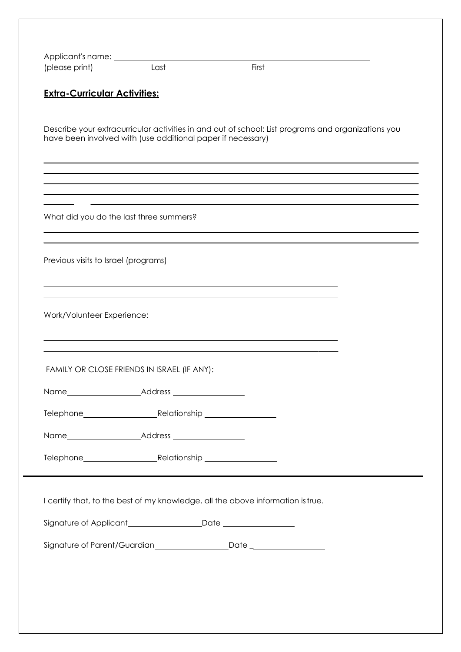| (please print)                       | Last                                                                            | First                                                                                              |  |
|--------------------------------------|---------------------------------------------------------------------------------|----------------------------------------------------------------------------------------------------|--|
| <b>Extra-Curricular Activities:</b>  |                                                                                 |                                                                                                    |  |
|                                      | have been involved with (use additional paper if necessary)                     | Describe your extracurricular activities in and out of school: List programs and organizations you |  |
|                                      |                                                                                 |                                                                                                    |  |
|                                      | What did you do the last three summers?                                         |                                                                                                    |  |
| Previous visits to Israel (programs) |                                                                                 |                                                                                                    |  |
| Work/Volunteer Experience:           |                                                                                 |                                                                                                    |  |
|                                      | FAMILY OR CLOSE FRIENDS IN ISRAEL (IF ANY):                                     |                                                                                                    |  |
|                                      |                                                                                 |                                                                                                    |  |
|                                      |                                                                                 |                                                                                                    |  |
|                                      |                                                                                 |                                                                                                    |  |
|                                      |                                                                                 |                                                                                                    |  |
|                                      | I certify that, to the best of my knowledge, all the above information is true. |                                                                                                    |  |
|                                      |                                                                                 |                                                                                                    |  |
|                                      |                                                                                 |                                                                                                    |  |
|                                      |                                                                                 |                                                                                                    |  |
|                                      |                                                                                 |                                                                                                    |  |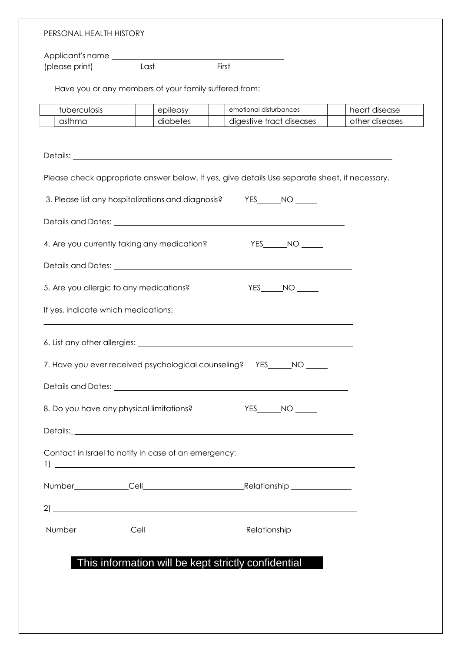| PERSONAL HEALTH HISTORY                                                                                                                                                                                                                                                                                                                            |                                                       |                                                                                                                |                |  |  |
|----------------------------------------------------------------------------------------------------------------------------------------------------------------------------------------------------------------------------------------------------------------------------------------------------------------------------------------------------|-------------------------------------------------------|----------------------------------------------------------------------------------------------------------------|----------------|--|--|
|                                                                                                                                                                                                                                                                                                                                                    |                                                       |                                                                                                                |                |  |  |
| (please print)                                                                                                                                                                                                                                                                                                                                     | Last                                                  | First                                                                                                          |                |  |  |
|                                                                                                                                                                                                                                                                                                                                                    | Have you or any members of your family suffered from: |                                                                                                                |                |  |  |
| tuberculosis                                                                                                                                                                                                                                                                                                                                       | epilepsy                                              | emotional disturbances                                                                                         | heart disease  |  |  |
| asthma                                                                                                                                                                                                                                                                                                                                             | diabetes                                              | digestive tract diseases                                                                                       | other diseases |  |  |
|                                                                                                                                                                                                                                                                                                                                                    |                                                       |                                                                                                                |                |  |  |
|                                                                                                                                                                                                                                                                                                                                                    |                                                       |                                                                                                                |                |  |  |
|                                                                                                                                                                                                                                                                                                                                                    |                                                       | Please check appropriate answer below. If yes, give details Use separate sheet, if necessary.                  |                |  |  |
|                                                                                                                                                                                                                                                                                                                                                    |                                                       | 3. Please list any hospitalizations and diagnosis? YES_____NO_____                                             |                |  |  |
|                                                                                                                                                                                                                                                                                                                                                    |                                                       | Details and Dates: University of the University of the University of the University of the University of the U |                |  |  |
| 4. Are you currently taking any medication?                                                                                                                                                                                                                                                                                                        |                                                       | $YES$ NO $\qquad$                                                                                              |                |  |  |
|                                                                                                                                                                                                                                                                                                                                                    |                                                       |                                                                                                                |                |  |  |
| 5. Are you allergic to any medications?                                                                                                                                                                                                                                                                                                            |                                                       | $YES$ $NO$ $\qquad$                                                                                            |                |  |  |
| If yes, indicate which medications:                                                                                                                                                                                                                                                                                                                |                                                       |                                                                                                                |                |  |  |
| and the control of the control of the control of the control of the control of the control of the control of the<br>6. List any other allergies: National According to the Contract of the Contract of the Contract of the Contract of the Contract of the Contract of the Contract of the Contract of the Contract of the Contract of the Contrac |                                                       |                                                                                                                |                |  |  |
|                                                                                                                                                                                                                                                                                                                                                    |                                                       |                                                                                                                |                |  |  |
|                                                                                                                                                                                                                                                                                                                                                    |                                                       | 7. Have you ever received psychological counseling? YES NO                                                     |                |  |  |
|                                                                                                                                                                                                                                                                                                                                                    |                                                       |                                                                                                                |                |  |  |
| 8. Do you have any physical limitations?                                                                                                                                                                                                                                                                                                           |                                                       | $YES$ $NO$ $\qquad$                                                                                            |                |  |  |
|                                                                                                                                                                                                                                                                                                                                                    |                                                       |                                                                                                                |                |  |  |
| Contact in Israel to notify in case of an emergency:                                                                                                                                                                                                                                                                                               |                                                       |                                                                                                                |                |  |  |
|                                                                                                                                                                                                                                                                                                                                                    |                                                       |                                                                                                                |                |  |  |
|                                                                                                                                                                                                                                                                                                                                                    |                                                       |                                                                                                                |                |  |  |
|                                                                                                                                                                                                                                                                                                                                                    |                                                       | $2)$ $\overline{\phantom{a}}$                                                                                  |                |  |  |
|                                                                                                                                                                                                                                                                                                                                                    |                                                       |                                                                                                                |                |  |  |
|                                                                                                                                                                                                                                                                                                                                                    |                                                       |                                                                                                                |                |  |  |
|                                                                                                                                                                                                                                                                                                                                                    |                                                       | This information will be kept strictly confidential                                                            |                |  |  |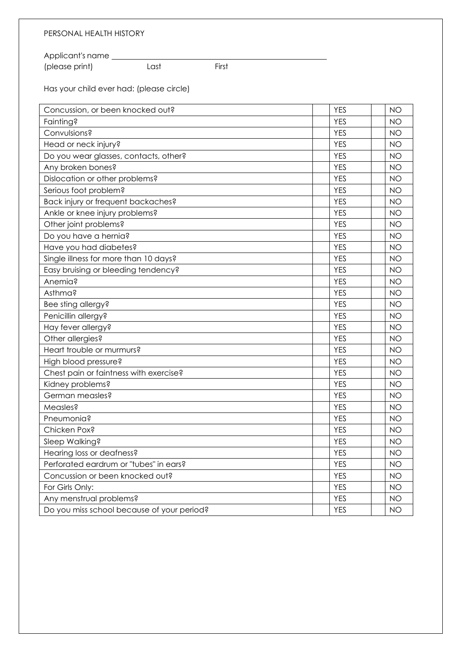## PERSONAL HEALTH HISTORY

Applicant's name (please print) Last First

Has your child ever had: (please circle)

| Concussion, or been knocked out?           | <b>YES</b> | <b>NO</b> |
|--------------------------------------------|------------|-----------|
| Fainting?                                  | <b>YES</b> | <b>NO</b> |
| Convulsions?                               | <b>YES</b> | <b>NO</b> |
| Head or neck injury?                       | <b>YES</b> | <b>NO</b> |
| Do you wear glasses, contacts, other?      | <b>YES</b> | <b>NO</b> |
| Any broken bones?                          | <b>YES</b> | <b>NO</b> |
| Dislocation or other problems?             | <b>YES</b> | <b>NO</b> |
| Serious foot problem?                      | <b>YES</b> | <b>NO</b> |
| Back injury or frequent backaches?         | <b>YES</b> | <b>NO</b> |
| Ankle or knee injury problems?             | <b>YES</b> | <b>NO</b> |
| Other joint problems?                      | <b>YES</b> | <b>NO</b> |
| Do you have a hernia?                      | <b>YES</b> | <b>NO</b> |
| Have you had diabetes?                     | <b>YES</b> | <b>NO</b> |
| Single illness for more than 10 days?      | <b>YES</b> | <b>NO</b> |
| Easy bruising or bleeding tendency?        | <b>YES</b> | <b>NO</b> |
| Anemia?                                    | <b>YES</b> | <b>NO</b> |
| Asthma?                                    | <b>YES</b> | <b>NO</b> |
| Bee sting allergy?                         | <b>YES</b> | <b>NO</b> |
| Penicillin allergy?                        | <b>YES</b> | <b>NO</b> |
| Hay fever allergy?                         | <b>YES</b> | <b>NO</b> |
| Other allergies?                           | <b>YES</b> | <b>NO</b> |
| Heart trouble or murmurs?                  | <b>YES</b> | <b>NO</b> |
| High blood pressure?                       | <b>YES</b> | <b>NO</b> |
| Chest pain or faintness with exercise?     | <b>YES</b> | <b>NO</b> |
| Kidney problems?                           | <b>YES</b> | <b>NO</b> |
| German measles?                            | <b>YES</b> | <b>NO</b> |
| Measles?                                   | <b>YES</b> | <b>NO</b> |
| Pneumonia?                                 | <b>YES</b> | <b>NO</b> |
| Chicken Pox?                               | <b>YES</b> | <b>NO</b> |
| Sleep Walking?                             | <b>YES</b> | <b>NO</b> |
| Hearing loss or deafness?                  | <b>YES</b> | <b>NO</b> |
| Perforated eardrum or "tubes" in ears?     | <b>YES</b> | <b>NO</b> |
| Concussion or been knocked out?            | <b>YES</b> | <b>NO</b> |
| For Girls Only:                            | <b>YES</b> | <b>NO</b> |
| Any menstrual problems?                    | <b>YES</b> | <b>NO</b> |
| Do you miss school because of your period? | <b>YES</b> | NO.       |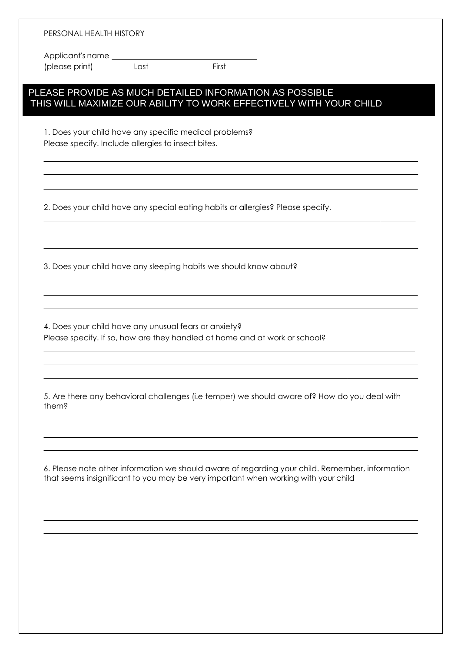Applicant's name (please print) Last First

## PLEASE PROVIDE AS MUCH DETAILED INFORMATION AS POSSIBLE THIS WILL MAXIMIZE OUR ABILITY TO WORK EFFECTIVELY WITH YOUR CHILD

1. Does your child have any specific medical problems? Please specify. Include allergies to insect bites.

2. Does your child have any special eating habits or allergies? Please specify.

3. Does your child have any sleeping habits we should know about?

4. Does your child have any unusual fears or anxiety? Please specify. If so, how are they handled at home and at work or school?

5. Are there any behavioral challenges (i.e temper) we should aware of? How do you deal with them?

6. Please note other information we should aware of regarding your child. Remember, information that seems insignificant to you may be very important when working with your child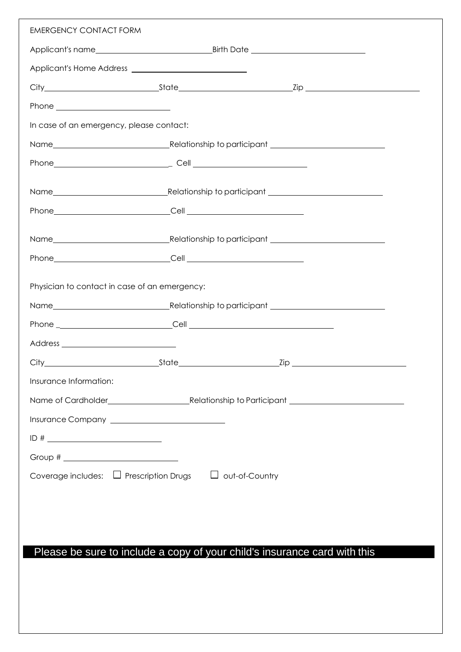| <b>EMERGENCY CONTACT FORM</b>                                      |                                                                                                                                                                                                                                |  |
|--------------------------------------------------------------------|--------------------------------------------------------------------------------------------------------------------------------------------------------------------------------------------------------------------------------|--|
|                                                                    |                                                                                                                                                                                                                                |  |
|                                                                    |                                                                                                                                                                                                                                |  |
|                                                                    |                                                                                                                                                                                                                                |  |
|                                                                    |                                                                                                                                                                                                                                |  |
| In case of an emergency, please contact:                           |                                                                                                                                                                                                                                |  |
|                                                                    |                                                                                                                                                                                                                                |  |
|                                                                    |                                                                                                                                                                                                                                |  |
|                                                                    |                                                                                                                                                                                                                                |  |
|                                                                    |                                                                                                                                                                                                                                |  |
|                                                                    |                                                                                                                                                                                                                                |  |
|                                                                    | Name Mame Mame Municipality Contains and Telecomputer Contains and Telecomputer Contains and Telecomputer Contains and Telecomputer Contains and Telecomputer Contains and Telecomputer Contains and Telecomputer Contains and |  |
|                                                                    |                                                                                                                                                                                                                                |  |
| Physician to contact in case of an emergency:                      |                                                                                                                                                                                                                                |  |
|                                                                    |                                                                                                                                                                                                                                |  |
|                                                                    |                                                                                                                                                                                                                                |  |
|                                                                    |                                                                                                                                                                                                                                |  |
|                                                                    |                                                                                                                                                                                                                                |  |
| Insurance Information:                                             |                                                                                                                                                                                                                                |  |
|                                                                    |                                                                                                                                                                                                                                |  |
| Insurance Company <u>__________________________</u>                |                                                                                                                                                                                                                                |  |
|                                                                    |                                                                                                                                                                                                                                |  |
|                                                                    |                                                                                                                                                                                                                                |  |
| Coverage includes: $\Box$ Prescription Drugs $\Box$ out-of-Country |                                                                                                                                                                                                                                |  |

## Please be sure to include a copy of your child's insurance card with this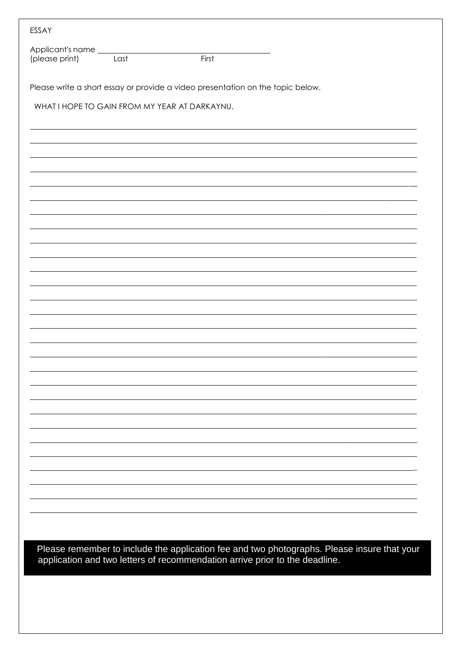| ESSAY                              |      |                                                                                                                                                                         |
|------------------------------------|------|-------------------------------------------------------------------------------------------------------------------------------------------------------------------------|
| Applicant's name<br>(please print) | Last | First                                                                                                                                                                   |
|                                    |      | Please write a short essay or provide a video presentation on the topic below.                                                                                          |
|                                    |      | WHAT I HOPE TO GAIN FROM MY YEAR AT DARKAYNU.                                                                                                                           |
|                                    |      |                                                                                                                                                                         |
|                                    |      |                                                                                                                                                                         |
|                                    |      |                                                                                                                                                                         |
|                                    |      |                                                                                                                                                                         |
|                                    |      |                                                                                                                                                                         |
|                                    |      |                                                                                                                                                                         |
|                                    |      |                                                                                                                                                                         |
|                                    |      |                                                                                                                                                                         |
|                                    |      |                                                                                                                                                                         |
|                                    |      |                                                                                                                                                                         |
|                                    |      |                                                                                                                                                                         |
|                                    |      |                                                                                                                                                                         |
|                                    |      |                                                                                                                                                                         |
|                                    |      |                                                                                                                                                                         |
|                                    |      |                                                                                                                                                                         |
|                                    |      |                                                                                                                                                                         |
|                                    |      |                                                                                                                                                                         |
|                                    |      |                                                                                                                                                                         |
|                                    |      |                                                                                                                                                                         |
|                                    |      |                                                                                                                                                                         |
|                                    |      |                                                                                                                                                                         |
|                                    |      |                                                                                                                                                                         |
|                                    |      |                                                                                                                                                                         |
|                                    |      |                                                                                                                                                                         |
|                                    |      | Please remember to include the application fee and two photographs. Please insure that your application and two letters of recommendation arrive prior to the deadline. |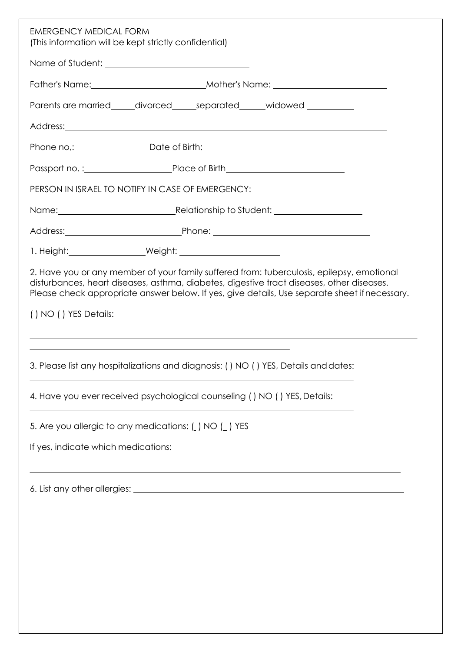| <b>EMERGENCY MEDICAL FORM</b><br>(This information will be kept strictly confidential)                                                                                                                                                                                                                           |
|------------------------------------------------------------------------------------------------------------------------------------------------------------------------------------------------------------------------------------------------------------------------------------------------------------------|
|                                                                                                                                                                                                                                                                                                                  |
|                                                                                                                                                                                                                                                                                                                  |
| Parents are married_____divorced_____separated_____widowed__________                                                                                                                                                                                                                                             |
|                                                                                                                                                                                                                                                                                                                  |
| Phone no,: ___________________________Date of Birth: ___________________________                                                                                                                                                                                                                                 |
|                                                                                                                                                                                                                                                                                                                  |
| PERSON IN ISRAEL TO NOTIFY IN CASE OF EMERGENCY:                                                                                                                                                                                                                                                                 |
| Name: Name: Name: Name: Name: Name: Name: Name: Name: Name: Name: Name: Name: Name: Name: Name: Name: Name: Name: N                                                                                                                                                                                              |
|                                                                                                                                                                                                                                                                                                                  |
|                                                                                                                                                                                                                                                                                                                  |
| 2. Have you or any member of your family suffered from: tuberculosis, epilepsy, emotional<br>disturbances, heart diseases, asthma, diabetes, digestive tract diseases, other diseases.<br>Please check appropriate answer below. If yes, give details, Use separate sheet if necessary.<br>() NO () YES Details: |
| 3. Please list any hospitalizations and diagnosis: () NO () YES, Details and dates:                                                                                                                                                                                                                              |
| 4. Have you ever received psychological counseling () NO () YES, Details:                                                                                                                                                                                                                                        |
| 5. Are you allergic to any medications: ( ) NO ( ) YES                                                                                                                                                                                                                                                           |
| If yes, indicate which medications:                                                                                                                                                                                                                                                                              |
|                                                                                                                                                                                                                                                                                                                  |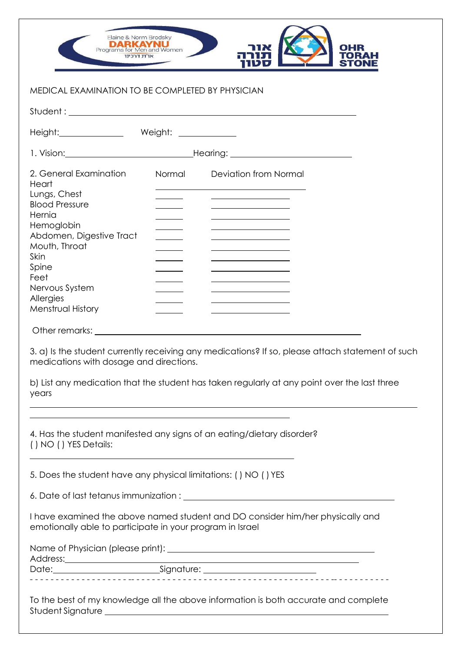

## MEDICAL EXAMINATION TO BE COMPLETED BY PHYSICIAN

| Height: Meight: Meight: Meight: Meight: 2004                                                                                                                                                                                                                          |        |                                                                                                                                                                                                                                                                                                                                                                                                                  |
|-----------------------------------------------------------------------------------------------------------------------------------------------------------------------------------------------------------------------------------------------------------------------|--------|------------------------------------------------------------------------------------------------------------------------------------------------------------------------------------------------------------------------------------------------------------------------------------------------------------------------------------------------------------------------------------------------------------------|
|                                                                                                                                                                                                                                                                       |        |                                                                                                                                                                                                                                                                                                                                                                                                                  |
| 2. General Examination<br>Heart<br>Lungs, Chest<br><b>Blood Pressure</b><br>Hernia<br>Hemoglobin<br>Abdomen, Digestive Tract<br>Mouth, Throat<br>Skin<br>Spine<br>Feet<br>Nervous System<br>Allergies<br>Menstrual History<br>medications with dosage and directions. | Normal | <b>Deviation from Normal</b><br>the control of the control of the control of<br><u> 1980 - Johann Barn, mars an t-Amerikaansk komponister (</u><br><u> 1989 - Johann Barn, mars eta bainar eta idazlea (</u><br>3. a) Is the student currently receiving any medications? If so, please attach statement of such<br>b) List any medication that the student has taken regularly at any point over the last three |
| years<br>() NO () YES Details:                                                                                                                                                                                                                                        |        | the control of the control of the control of the control of the control of the control of the control of the control of the control of the control of the control of the control of the control of the control of the control<br>4. Has the student manifested any signs of an eating/dietary disorder?                                                                                                          |
| 5. Does the student have any physical limitations: () NO () YES                                                                                                                                                                                                       |        |                                                                                                                                                                                                                                                                                                                                                                                                                  |
| emotionally able to participate in your program in Israel                                                                                                                                                                                                             |        | I have examined the above named student and DO consider him/her physically and                                                                                                                                                                                                                                                                                                                                   |
|                                                                                                                                                                                                                                                                       |        |                                                                                                                                                                                                                                                                                                                                                                                                                  |
|                                                                                                                                                                                                                                                                       |        |                                                                                                                                                                                                                                                                                                                                                                                                                  |
|                                                                                                                                                                                                                                                                       |        | To the best of my knowledge all the above information is both accurate and complete                                                                                                                                                                                                                                                                                                                              |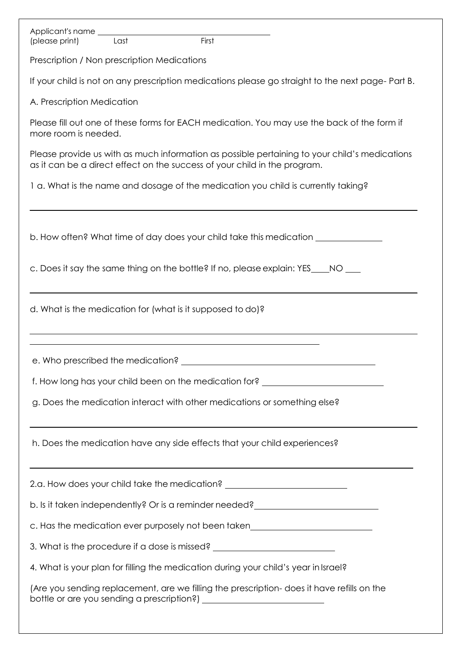| Applicant's name<br>First<br>Last<br>(please print)                                                                                                                        |
|----------------------------------------------------------------------------------------------------------------------------------------------------------------------------|
| Prescription / Non prescription Medications                                                                                                                                |
| If your child is not on any prescription medications please go straight to the next page- Part B.                                                                          |
| A. Prescription Medication                                                                                                                                                 |
| Please fill out one of these forms for EACH medication. You may use the back of the form if<br>more room is needed.                                                        |
| Please provide us with as much information as possible pertaining to your child's medications<br>as it can be a direct effect on the success of your child in the program. |
| 1 a. What is the name and dosage of the medication you child is currently taking?                                                                                          |
|                                                                                                                                                                            |
| b. How often? What time of day does your child take this medication <b>by the state of the state of the state</b>                                                          |
| c. Does it say the same thing on the bottle? If no, please explain: YES____NO ___                                                                                          |
| d. What is the medication for (what is it supposed to do)?                                                                                                                 |
| e. Who prescribed the medication?                                                                                                                                          |
| f. How long has your child been on the medication for? _________________________                                                                                           |
| g. Does the medication interact with other medications or something else?                                                                                                  |
| h. Does the medication have any side effects that your child experiences?                                                                                                  |
| ,我们也不能在这里的时候,我们也不能在这里的时候,我们也不能会在这里的时候,我们也不能会在这里的时候,我们也不能会在这里的时候,我们也不能会在这里的时候,我们也不<br>2.a. How does your child take the medication? __________________________________      |
| b. Is it taken independently? Or is a reminder needed? _________________________                                                                                           |
| c. Has the medication ever purposely not been taken_____________________________                                                                                           |
| 3. What is the procedure if a dose is missed? __________________________________                                                                                           |
| 4. What is your plan for filling the medication during your child's year in Israel?                                                                                        |
| (Are you sending replacement, are we filling the prescription- does it have refills on the                                                                                 |